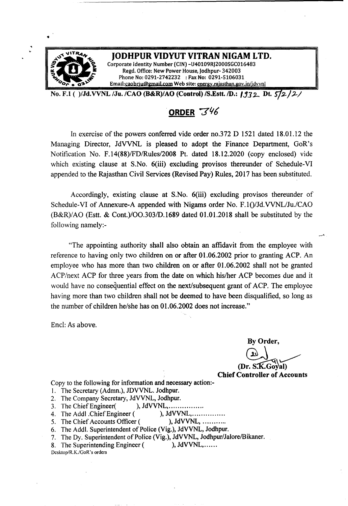

No. F.1 ( )/Jd.VVNL /Ju. /CAO (B&R)/AO (Control) /S.Estt. /D.: **1932** Dt. 572/2/

# **.ORDER** *"Y'I6*

In exercise of the powers conferred vide order no.372 D 1521 dated 18.01.12 the Managing Director, JdVVNL is pleased to adopt the Finance Department, GoR's Notification No. F.14(88)/FDlRules/2008 Pt. dated 18.12.2020 (copy enclosed) vide which existing clause at S.No. 6(iii) excluding provisos thereunder of Schedule-VI appended to the Rajasthan Civil Services (Revised Pay) Rules, 2017 has been substituted.

Accordingly, existing clause at S.No. 6(iii) excluding provisos thereunder of Schedule-VI of Annexure-A appended with Nigams order No. F.1()/Jd.VVNL/Ju./CAO (B&R)/AO (Estt. & Cont.)/OO.303/D.1689 dated 01.01.2018 shall be substituted by the following namely:-

"The appointing authority shall also obtain an affidavit from the employee with reference to having only two children on or after 01.06.2002 prior to granting ACP. An employee who has more than two children on or after 01.06.2002 shall not be granted ACP/next ACP for three years from the date on which his/her ACP becomes due and it would have no consequential effect on the next/subsequent grant of ACP. The employee having more than two children shall not be deemed to have been disqualified, so long as the number of children he/she has on 01.06.2002 does not increase."

End: As above.

 $\mathbf{r}$ 

By Order,

 $\overline{20}$ (Dr. S**.K**.C

Chief Controller of Accounts

Copy to the following for information and necessary action:-

- I. The Secretary (Admn.), JDVVNL. Jodhpur.
- 2. The Company Secretary, JdVVNL, Jodhpur.
- 3. The Chief Engineer( ), JdVVNL,..................
- 4. The Addl .Chief Engineer (
1. S. The Chief Accounts Officer (
1. S. The Chief Accounts Officer (
1. J. JdVVNL, ...........
- 5. The Chief Accounts Officer (
- 6. The Addl, Superintendent of Police (Vig.), JdVVNL, Jodhpur.
- 7. The Dy. Superintendent of Police (Vig.), JdVVNL, Jodhpur/Jalore/Bikaner.
- 8. The Superintending Engineer (
), JdVVNL,...... Desktop/R.K./GoR's orders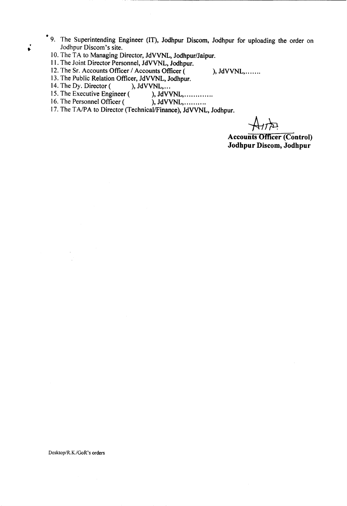- 9. The Superintending Engineer (IT), Jodhpur Discom, Jodhpur for uploading the order on Jodhpur Discom's site.
	- 10. The TA to Managing Director, JdVVNL, Jodhpur/Jaipur.
	- 11. The Joint Director Personnel, JdVVNL, Jodhpur.
	- 12. The Sr. Accounts Officer / Accounts Officer ( ), JdVVNL, .......
	- 13. The Public Relation Officer, JdVVNL, Jodhpur.<br>14. The Dy. Director (), JdVVNL,...
	- 14. The Dy. Director (
	- 15. The Executive Engineer ( ), JdVVNL, ... ... ... ...
	- 16. The Personnel Officer ( ), JdVVNL, ... ... ...
	- 17. The TA/PA to Director (Technical/Finance), JdVVNL, Jodhpur.

**Accounts Officer (Control) Jodhpur Discom, Jodhpur**

. •

Desktop/R,K./GoR's orders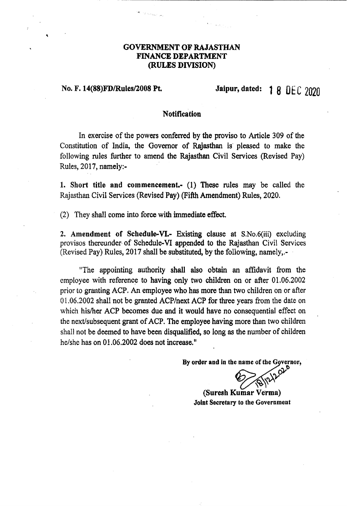# GOVERNMENT OF RAJASTHAN FINANCE DEPARTMENT (RULES DIVISION)

# No. F. 14(88)FD/Rules/2008 Pt. Jaipur, dated: 1 8 DEC 2020

### **Notification**

In exercise of the powers conferred by the proviso to Article 309 of the Constitution of India, the Governor of Rajasthan is' pleased to make the following rules further to amend the Rajasthan Civil Services (Revised Pay) Rules, 2017, namely:-

1. Short title and commencement- (1) These rules may be called the Rajasthan Civil Services (Revised Pay) (Fifth Amendment) Rules, 2020.

(2) They shall come into force with immediate effect.

2. Amendment of Schedule-VI.- Existing clause at S.No.6(iii) excluding provisos thereunder of Schedule-VI appended to the Rajasthan Civil Services (Revised Pay) Rules, 2017 shall be substituted, by the following, namely,.-

"The appointing authority shall also obtain an affidavit from the employee with reference to having only two children on or after 01.06.2002 prior to granting ACP. An employee who has more than two children on or after 01.06.2002 shall not be granted *ACP/next* ACP for three years from the date on which his/her ACP becomes due and it would have no consequential effect on the next/subsequent grant of ACP. The employee having more than two children shall not be deemed to have been disqualified, so long as the number of children he/she has on 01.06.2002 does not increase."

> By order and in the name of the Governor, o

*~'V0v* ~~

(Suresh Kumar Verma) Joint Secretary to the Government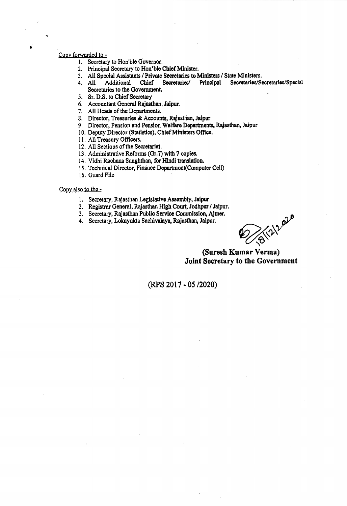#### Copy forwarded to -

•

- 1. Secretary to Hon'ble Governor.
- 2. Principal Secretary to Hon'ble Chief Minister.
- 3. All Special Assistants / Private Secretaries to Ministers / State Ministers.<br>4. All Additional Chief Secretaries Principal Secretaries/Secretaries
- 4. All Additional Chief Secretaries/ Principal Secretaries/Secretaries/Special Secretaries to the Government.
- 5. Sr. D.S. to Chief Secretary
- 6. Accountant General Rajasthan, Jaipur.
- 7. All Heads of the Departments.
- 8. Director, Treasuries & Acoounts, Rajasthan, Jaipur
- 9. Director, Pension and Pension Welfare Departments. Rajasthan, Jaipur
- 10. Deputy Director (Statistics), Chief Ministers Office.
- 11. All Treasury Officers.
- 12. All Sections of the Secretariat.
- 13. Administrative Reforms (Or.7) with 7 copies.
- 14. Vidhi Rachana Sanghthan, for Hindi translation.
- 15. Technical Director, Finance Department{Computer Cell)
- 16. Guard File '

### Copy also to the -

- 1. Secretary, Rajasthan Legislative Assembly, Jalpur
- 2. Registrar General, Rajasthan High Court, Jodhpm *I*Jaipur.
- 3. Secretary, Rajasthan Public Service Commission, Ajmer.
- 

4. Secretary, Lokayukta Sachivalaya, Rajasthan, Jaipur.

## (Suresh Kumar Verma) Joint Secretary to the Government

(RPS 2017 • OS *12020)*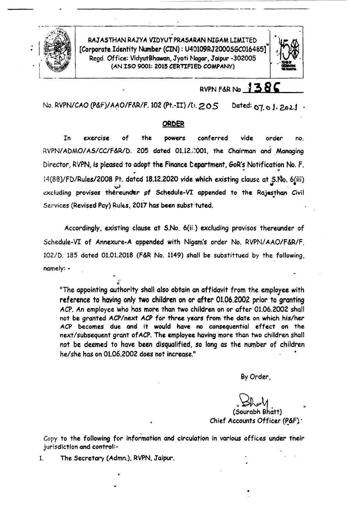

. RAJASTHAN RAJYA VIDYUT PRASARAN NIGAM LIMITED 'III' [Corporate Identity Number (CIN): U40109RJ2000SGC016485] Rcgd.Office.: Vidyut8hawan,Jyoti Nagar,Jaipur -302005 (AN ISO 9001: 2015 CERTIFIED COMPANY)

------------------\_. \_\_ .\_\_ ..



# RVPNF&RNo '3**8,**

No. RVPN/CAO (P&F)/AAO/F&R/F, 102 (Pt.-II) /t). 205 Dated: 07, 0 J. 2021

## ORDER

In exercise of the powers conferred vide order no. . RVPN/ADMO/AS/CC/F&R/D. 205 dated 01.12.::001, the Chairman and Managing Director, RVPN, is pleased to adopt the Finance Department, GoR's Notification No. F. " .. .. 14(88)/FD/Rules/2008 Pt. datcd 18.12.2020 vide which existing clause at *S.No.* 6(iii)  $\omega$  . The set of the set of the set of the set of the set of the set of the set of the set of the set of the set of the set of the set of the set of the set of the set of the set of the set of the set of the set of the s excluding provisos thereunder of Schedule-VI appended to the Rajasthan Civil Services (Revised Pay) Rules, 2017 has been substituted.

Accordingly, existing clause at S.No. 6(ii.) excluding provisos thereunder of Schedule-VI of Annexure-A appended with Nigam's order No. RVPN/AAO/F&R/F. 102/D. 185 dated 01.01.2018 (F&R No. 1149) shall be substittued by the following, namely: -

"The appointing authority shall also obtain an affidavit from the employee with reference to having only two children on or after 01.06.2002 prior to granting ACP.An employee who has more 'than two children on or after *01.06.2002* shall not be granted *ACP* /next *ACP* for three years from the date on which his/her ACP becomes due and it would have no consequential effect on the next/subsequent grant of ACP. The employee having more than two children shall not be deemed to have been disqualified, *so* long as the number of children he/she has on 01.06.2002 does not increase." •

By Order,

*~~\A* (Sourabh Shatt) Chief Accounts Officer ( $P\&F$ ).

•

Copy to the following for information and circulation in various offices under their jurisdiction and control:-

1. The Secretary (Admn.), RVPN, Jaipur.

.> Q